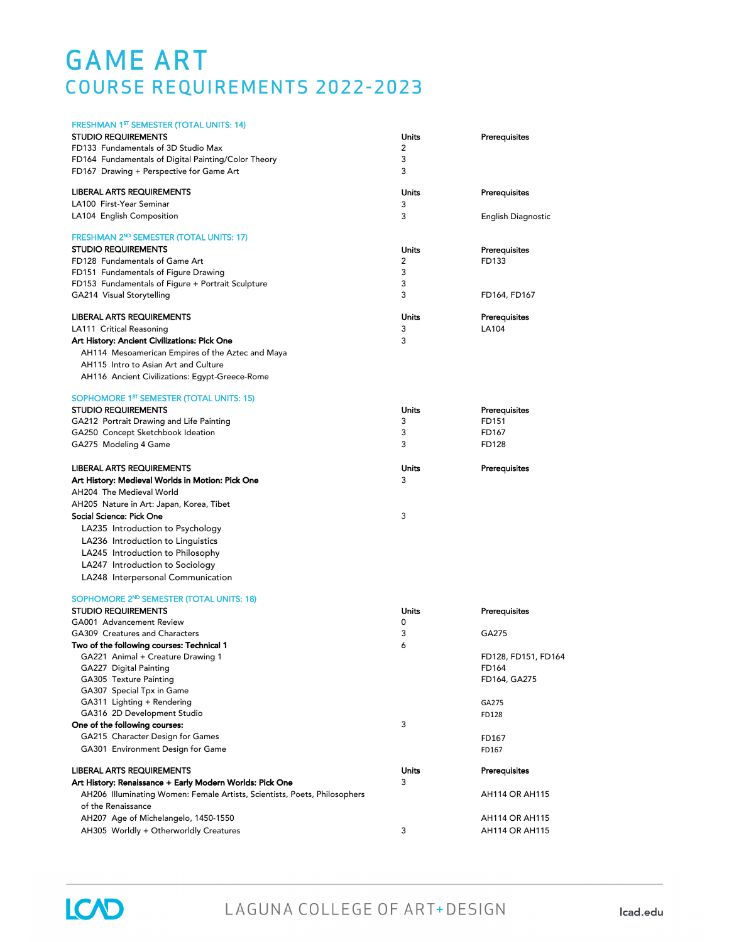## GAME ART COURSE REQUIREMENTS 2022-2023

| FRESHMAN 1 <sup>ST</sup> SEMESTER (TOTAL UNITS: 14)                                             |       |                       |
|-------------------------------------------------------------------------------------------------|-------|-----------------------|
| <b>STUDIO REQUIREMENTS</b>                                                                      | Units | Prerequisites         |
| FD133 Fundamentals of 3D Studio Max                                                             | 2     |                       |
| FD164 Fundamentals of Digital Painting/Color Theory                                             | 3     |                       |
| FD167 Drawing + Perspective for Game Art                                                        | 3     |                       |
| LIBERAL ARTS REQUIREMENTS                                                                       | Units | Prerequisites         |
| LA100 First-Year Seminar                                                                        | 3     |                       |
| LA104 English Composition                                                                       | 3     | English Diagnostic    |
| FRESHMAN 2ND SEMESTER (TOTAL UNITS: 17)                                                         |       |                       |
| <b>STUDIO REQUIREMENTS</b>                                                                      | Units | Prerequisites         |
| FD128 Fundamentals of Game Art                                                                  | 2     | FD133                 |
| FD151 Fundamentals of Figure Drawing                                                            | 3     |                       |
| FD153 Fundamentals of Figure + Portrait Sculpture                                               | 3     |                       |
| GA214 Visual Storytelling                                                                       | 3     | FD164, FD167          |
| LIBERAL ARTS REQUIREMENTS                                                                       | Units | Prerequisites         |
| LA111 Critical Reasoning                                                                        | 3     | LA104                 |
| Art History: Ancient Civilizations: Pick One                                                    | 3     |                       |
| AH114 Mesoamerican Empires of the Aztec and Maya                                                |       |                       |
| AH115 Intro to Asian Art and Culture                                                            |       |                       |
| AH116 Ancient Civilizations: Egypt-Greece-Rome                                                  |       |                       |
| SOPHOMORE 1 <sup>ST</sup> SEMESTER (TOTAL UNITS: 15)                                            |       |                       |
| <b>STUDIO REQUIREMENTS</b>                                                                      | Units | Prerequisites         |
| GA212 Portrait Drawing and Life Painting                                                        | 3     | FD151                 |
| GA250 Concept Sketchbook Ideation                                                               | 3     | FD167                 |
| GA275 Modeling 4 Game                                                                           | 3     | FD128                 |
| LIBERAL ARTS REQUIREMENTS                                                                       | Units | Prerequisites         |
| Art History: Medieval Worlds in Motion: Pick One                                                | 3     |                       |
| AH204 The Medieval World                                                                        |       |                       |
| AH205 Nature in Art: Japan, Korea, Tibet                                                        |       |                       |
| Social Science: Pick One                                                                        | 3     |                       |
| LA235 Introduction to Psychology                                                                |       |                       |
| LA236 Introduction to Linguistics                                                               |       |                       |
|                                                                                                 |       |                       |
| LA245 Introduction to Philosophy                                                                |       |                       |
| LA247 Introduction to Sociology                                                                 |       |                       |
| LA248 Interpersonal Communication                                                               |       |                       |
| SOPHOMORE 2 <sup>ND</sup> SEMESTER (TOTAL UNITS: 18)                                            |       |                       |
| <b>STUDIO REQUIREMENTS</b>                                                                      | Units | Prerequisites         |
| GA001 Advancement Review                                                                        | 0     |                       |
| GA309 Creatures and Characters                                                                  | 3     | GA275                 |
| Two of the following courses: Technical 1                                                       | 6     |                       |
| GA221 Animal + Creature Drawing 1                                                               |       | FD128, FD151, FD164   |
| GA227 Digital Painting                                                                          |       | FD164                 |
| GA305 Texture Painting                                                                          |       | FD164, GA275          |
| GA307 Special Tpx in Game                                                                       |       |                       |
| GA311 Lighting + Rendering                                                                      |       | GA275                 |
| GA316 2D Development Studio                                                                     | 3     | FD128                 |
| One of the following courses:                                                                   |       |                       |
| GA215 Character Design for Games                                                                |       | FD167                 |
| GA301 Environment Design for Game                                                               |       | FD167                 |
| <b>LIBERAL ARTS REQUIREMENTS</b>                                                                | Units | Prerequisites         |
| Art History: Renaissance + Early Modern Worlds: Pick One                                        | 3     |                       |
| AH206 Illuminating Women: Female Artists, Scientists, Poets, Philosophers<br>of the Renaissance |       | <b>AH114 OR AH115</b> |
| AH207 Age of Michelangelo, 1450-1550                                                            |       | <b>AH114 OR AH115</b> |
| AH305 Worldly + Otherworldly Creatures                                                          | 3     | <b>AH114 OR AH115</b> |
|                                                                                                 |       |                       |

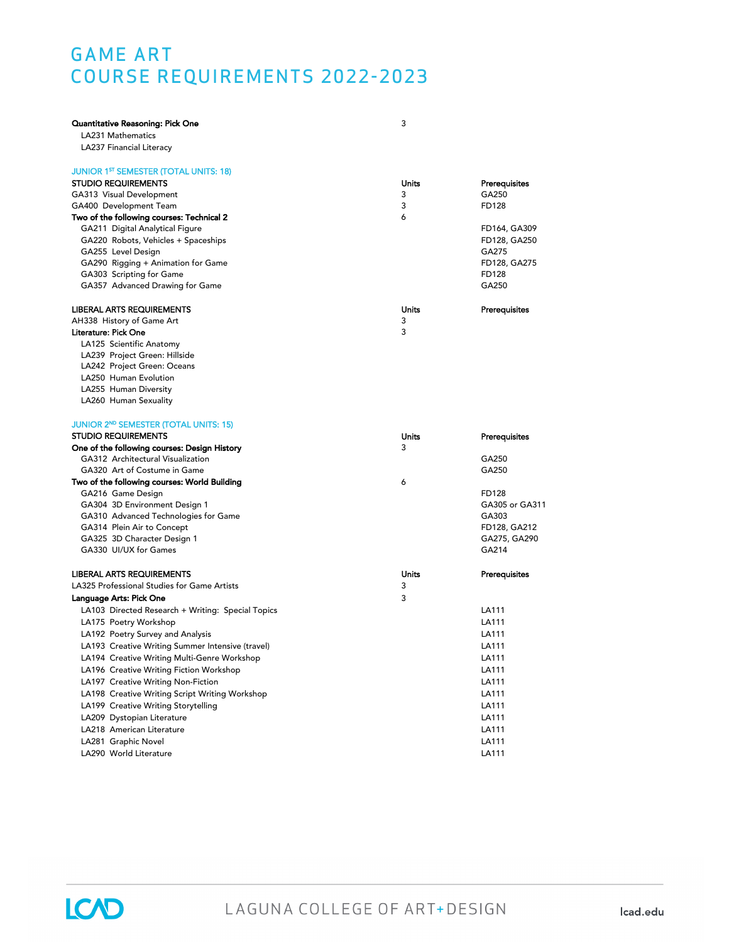### GAME ART COURSE REQUIREMENTS 2022-2023

| Quantitative Reasoning: Pick One                  | 3     |                       |
|---------------------------------------------------|-------|-----------------------|
| LA231 Mathematics                                 |       |                       |
| LA237 Financial Literacy                          |       |                       |
| <b>JUNIOR 1ST SEMESTER (TOTAL UNITS: 18)</b>      |       |                       |
| <b>STUDIO REQUIREMENTS</b>                        | Units | Prerequisites         |
| GA313 Visual Development                          | 3     | GA250                 |
| GA400 Development Team                            | 3     | FD128                 |
| Two of the following courses: Technical 2         | 6     |                       |
| GA211 Digital Analytical Figure                   |       | FD164, GA309          |
| GA220 Robots, Vehicles + Spaceships               |       | FD128, GA250          |
| GA255 Level Design                                |       | GA275                 |
| GA290 Rigging + Animation for Game                |       | FD128, GA275          |
| GA303 Scripting for Game                          |       | FD128                 |
| GA357 Advanced Drawing for Game                   |       | GA250                 |
| <b>LIBERAL ARTS REQUIREMENTS</b>                  | Units | Prerequisites         |
| AH338 History of Game Art                         | 3     |                       |
| Literature: Pick One                              | 3     |                       |
| LA125 Scientific Anatomy                          |       |                       |
| LA239 Project Green: Hillside                     |       |                       |
| LA242 Project Green: Oceans                       |       |                       |
| LA250 Human Evolution                             |       |                       |
| LA255 Human Diversity                             |       |                       |
| LA260 Human Sexuality                             |       |                       |
| <b>JUNIOR 2ND SEMESTER (TOTAL UNITS: 15)</b>      |       |                       |
| <b>STUDIO REQUIREMENTS</b>                        | Units | Prerequisites         |
| One of the following courses: Design History      | 3     |                       |
| GA312 Architectural Visualization                 |       | GA250                 |
| GA320 Art of Costume in Game                      |       | GA250                 |
| Two of the following courses: World Building      | 6     |                       |
| GA216 Game Design                                 |       | FD128                 |
| GA304 3D Environment Design 1                     |       | GA305 or GA311        |
| GA310 Advanced Technologies for Game              |       | GA303                 |
| GA314 Plein Air to Concept                        |       | FD128, GA212          |
| GA325 3D Character Design 1                       |       | GA275, GA290<br>GA214 |
| GA330 UI/UX for Games                             |       |                       |
| <b>LIBERAL ARTS REQUIREMENTS</b>                  | Units | Prerequisites         |
| LA325 Professional Studies for Game Artists       | 3     |                       |
| Language Arts: Pick One                           | 3     |                       |
| LA103 Directed Research + Writing: Special Topics |       | LA111                 |
| LA175 Poetry Workshop                             |       | LA111                 |
| LA192 Poetry Survey and Analysis                  |       | LA111                 |
| LA193 Creative Writing Summer Intensive (travel)  |       | LA111                 |
| LA194 Creative Writing Multi-Genre Workshop       |       | LA111                 |
| LA196 Creative Writing Fiction Workshop           |       | LA111                 |
| LA197 Creative Writing Non-Fiction                |       | LA111                 |
| LA198 Creative Writing Script Writing Workshop    |       | LA111                 |
| LA199 Creative Writing Storytelling               |       | LA111                 |
| LA209 Dystopian Literature                        |       | LA111                 |
| LA218 American Literature                         |       | LA111                 |
| LA281 Graphic Novel                               |       | LA111                 |
| LA290 World Literature                            |       | LA111                 |